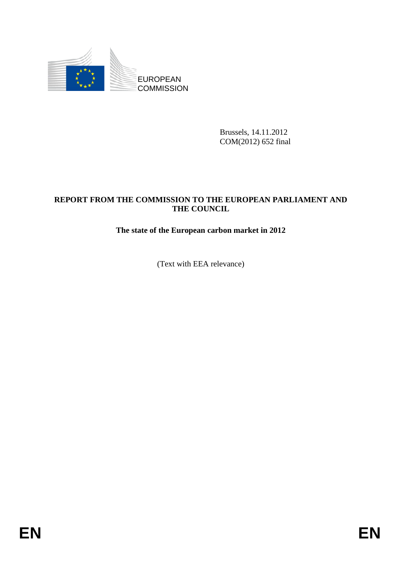

Brussels, 14.11.2012 COM(2012) 652 final

### **REPORT FROM THE COMMISSION TO THE EUROPEAN PARLIAMENT AND THE COUNCIL**

#### **The state of the European carbon market in 2012**

(Text with EEA relevance)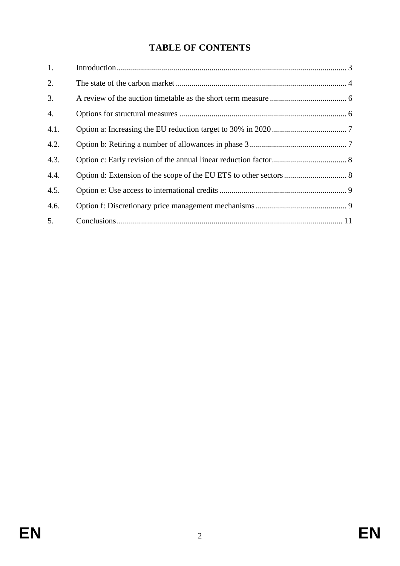# **TABLE OF CONTENTS**

| 1.   |  |
|------|--|
| 2.   |  |
| 3.   |  |
| 4.   |  |
| 4.1. |  |
| 4.2. |  |
| 4.3. |  |
| 4.4. |  |
| 4.5. |  |
| 4.6. |  |
| 5.   |  |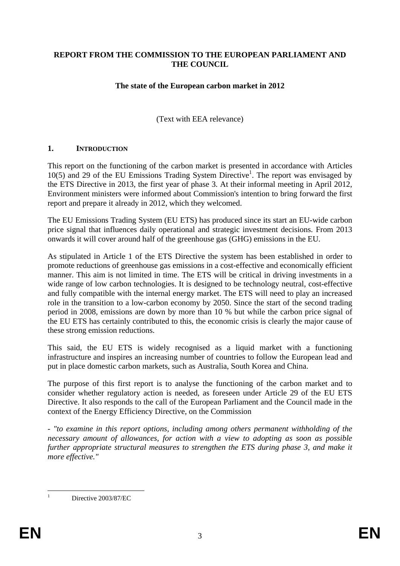#### **REPORT FROM THE COMMISSION TO THE EUROPEAN PARLIAMENT AND THE COUNCIL**

#### **The state of the European carbon market in 2012**

(Text with EEA relevance)

#### <span id="page-2-0"></span>**1. INTRODUCTION**

This report on the functioning of the carbon market is presented in accordance with Articles  $10(5)$  and 29 of the EU Emissions Trading System Directive<sup>1</sup>. The report was envisaged by the ETS Directive in 2013, the first year of phase 3. At their informal meeting in April 2012, Environment ministers were informed about Commission's intention to bring forward the first report and prepare it already in 2012, which they welcomed.

The EU Emissions Trading System (EU ETS) has produced since its start an EU-wide carbon price signal that influences daily operational and strategic investment decisions. From 2013 onwards it will cover around half of the greenhouse gas (GHG) emissions in the EU.

As stipulated in Article 1 of the ETS Directive the system has been established in order to promote reductions of greenhouse gas emissions in a cost-effective and economically efficient manner. This aim is not limited in time. The ETS will be critical in driving investments in a wide range of low carbon technologies. It is designed to be technology neutral, cost-effective and fully compatible with the internal energy market. The ETS will need to play an increased role in the transition to a low-carbon economy by 2050. Since the start of the second trading period in 2008, emissions are down by more than 10 % but while the carbon price signal of the EU ETS has certainly contributed to this, the economic crisis is clearly the major cause of these strong emission reductions.

This said, the EU ETS is widely recognised as a liquid market with a functioning infrastructure and inspires an increasing number of countries to follow the European lead and put in place domestic carbon markets, such as Australia, South Korea and China.

The purpose of this first report is to analyse the functioning of the carbon market and to consider whether regulatory action is needed, as foreseen under Article 29 of the EU ETS Directive. It also responds to the call of the European Parliament and the Council made in the context of the Energy Efficiency Directive, on the Commission

*- "to examine in this report options, including among others permanent withholding of the necessary amount of allowances, for action with a view to adopting as soon as possible further appropriate structural measures to strengthen the ETS during phase 3, and make it more effective."* 

 $\frac{1}{1}$ Directive 2003/87/EC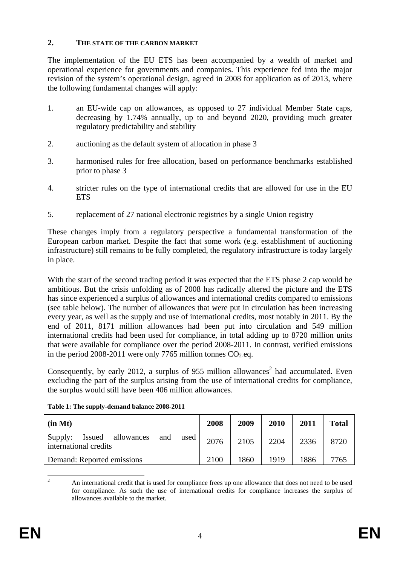#### <span id="page-3-0"></span>**2. THE STATE OF THE CARBON MARKET**

The implementation of the EU ETS has been accompanied by a wealth of market and operational experience for governments and companies. This experience fed into the major revision of the system's operational design, agreed in 2008 for application as of 2013, where the following fundamental changes will apply:

- 1. an EU-wide cap on allowances, as opposed to 27 individual Member State caps, decreasing by 1.74% annually, up to and beyond 2020, providing much greater regulatory predictability and stability
- 2. auctioning as the default system of allocation in phase 3
- 3. harmonised rules for free allocation, based on performance benchmarks established prior to phase 3
- 4. stricter rules on the type of international credits that are allowed for use in the EU **ETS**
- 5. replacement of 27 national electronic registries by a single Union registry

These changes imply from a regulatory perspective a fundamental transformation of the European carbon market. Despite the fact that some work (e.g. establishment of auctioning infrastructure) still remains to be fully completed, the regulatory infrastructure is today largely in place.

With the start of the second trading period it was expected that the ETS phase 2 cap would be ambitious. But the crisis unfolding as of 2008 has radically altered the picture and the ETS has since experienced a surplus of allowances and international credits compared to emissions (see table below). The number of allowances that were put in circulation has been increasing every year, as well as the supply and use of international credits, most notably in 2011. By the end of 2011, 8171 million allowances had been put into circulation and 549 million international credits had been used for compliance, in total adding up to 8720 million units that were available for compliance over the period 2008-2011. In contrast, verified emissions in the period 2008-2011 were only 7765 million tonnes  $CO_2$ -eq.

Consequently, by early 2012, a surplus of 955 million allowances<sup>2</sup> had accumulated. Even excluding the part of the surplus arising from the use of international credits for compliance, the surplus would still have been 406 million allowances.

| (in Mt)                                                              | 2008 | 2009 | 2010 | 2011 | <b>Total</b> |
|----------------------------------------------------------------------|------|------|------|------|--------------|
| Supply:<br>Issued allowances<br>and<br>used<br>international credits | 2076 | 2105 | 2204 | 2336 | 8720         |
| Demand: Reported emissions                                           | 2100 | 1860 | 1919 | 1886 | 7765         |

**Table 1: The supply-demand balance 2008-2011** 

 $\frac{1}{2}$  An international credit that is used for compliance frees up one allowance that does not need to be used for compliance. As such the use of international credits for compliance increases the surplus of allowances available to the market.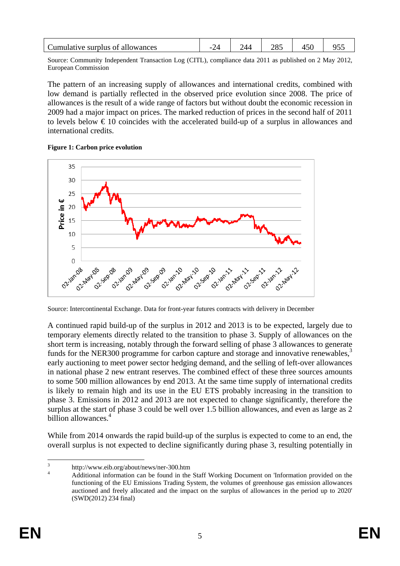| Cumulative surplus of allowances |  |  |  |
|----------------------------------|--|--|--|
|                                  |  |  |  |

Source: Community Independent Transaction Log (CITL), compliance data 2011 as published on 2 May 2012, European Commission

The pattern of an increasing supply of allowances and international credits, combined with low demand is partially reflected in the observed price evolution since 2008. The price of allowances is the result of a wide range of factors but without doubt the economic recession in 2009 had a major impact on prices. The marked reduction of prices in the second half of 2011 to levels below  $\epsilon$  10 coincides with the accelerated build-up of a surplus in allowances and international credits.

**Figure 1: Carbon price evolution** 



Source: Intercontinental Exchange. Data for front-year futures contracts with delivery in December

A continued rapid build-up of the surplus in 2012 and 2013 is to be expected, largely due to temporary elements directly related to the transition to phase 3. Supply of allowances on the short term is increasing, notably through the forward selling of phase 3 allowances to generate funds for the NER300 programme for carbon capture and storage and innovative renewables, $3$ early auctioning to meet power sector hedging demand, and the selling of left-over allowances in national phase 2 new entrant reserves. The combined effect of these three sources amounts to some 500 million allowances by end 2013. At the same time supply of international credits is likely to remain high and its use in the EU ETS probably increasing in the transition to phase 3. Emissions in 2012 and 2013 are not expected to change significantly, therefore the surplus at the start of phase 3 could be well over 1.5 billion allowances, and even as large as 2 billion allowances.<sup>4</sup>

While from 2014 onwards the rapid build-up of the surplus is expected to come to an end, the overall surplus is not expected to decline significantly during phase 3, resulting potentially in

 $\frac{1}{3}$ http://www.eib.org/about/news/ner-300.htm

<sup>4</sup> Additional information can be found in the Staff Working Document on 'Information provided on the functioning of the EU Emissions Trading System, the volumes of greenhouse gas emission allowances auctioned and freely allocated and the impact on the surplus of allowances in the period up to 2020' (SWD(2012) 234 final)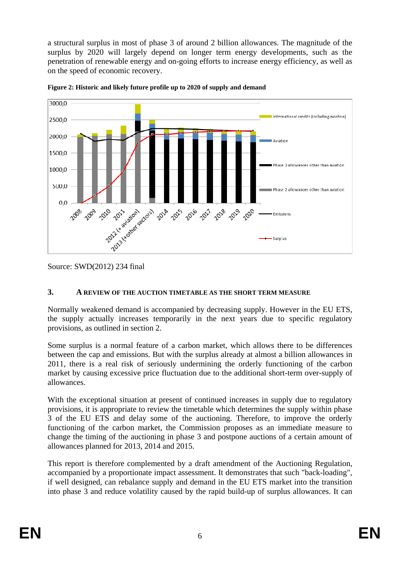a structural surplus in most of phase 3 of around 2 billion allowances. The magnitude of the surplus by 2020 will largely depend on longer term energy developments, such as the penetration of renewable energy and on-going efforts to increase energy efficiency, as well as on the speed of economic recovery.





Source: SWD(2012) 234 final

#### <span id="page-5-0"></span>**3. A REVIEW OF THE AUCTION TIMETABLE AS THE SHORT TERM MEASURE**

Normally weakened demand is accompanied by decreasing supply. However in the EU ETS, the supply actually increases temporarily in the next years due to specific regulatory provisions, as outlined in section 2.

Some surplus is a normal feature of a carbon market, which allows there to be differences between the cap and emissions. But with the surplus already at almost a billion allowances in 2011, there is a real risk of seriously undermining the orderly functioning of the carbon market by causing excessive price fluctuation due to the additional short-term over-supply of allowances.

With the exceptional situation at present of continued increases in supply due to regulatory provisions, it is appropriate to review the timetable which determines the supply within phase 3 of the EU ETS and delay some of the auctioning. Therefore, to improve the orderly functioning of the carbon market, the Commission proposes as an immediate measure to change the timing of the auctioning in phase 3 and postpone auctions of a certain amount of allowances planned for 2013, 2014 and 2015.

This report is therefore complemented by a draft amendment of the Auctioning Regulation, accompanied by a proportionate impact assessment. It demonstrates that such "back-loading", if well designed, can rebalance supply and demand in the EU ETS market into the transition into phase 3 and reduce volatility caused by the rapid build-up of surplus allowances. It can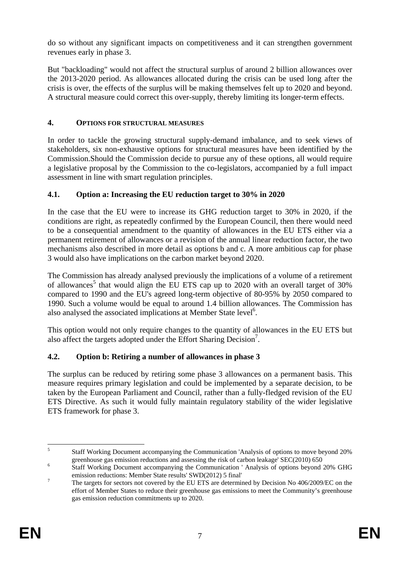do so without any significant impacts on competitiveness and it can strengthen government revenues early in phase 3.

But "backloading" would not affect the structural surplus of around 2 billion allowances over the 2013-2020 period. As allowances allocated during the crisis can be used long after the crisis is over, the effects of the surplus will be making themselves felt up to 2020 and beyond. A structural measure could correct this over-supply, thereby limiting its longer-term effects.

### **4. OPTIONS FOR STRUCTURAL MEASURES**

In order to tackle the growing structural supply-demand imbalance, and to seek views of stakeholders, six non-exhaustive options for structural measures have been identified by the Commission.Should the Commission decide to pursue any of these options, all would require a legislative proposal by the Commission to the co-legislators, accompanied by a full impact assessment in line with smart regulation principles.

## <span id="page-6-1"></span>**4.1. Option a: Increasing the EU reduction target to 30% in 2020**

In the case that the EU were to increase its GHG reduction target to 30% in 2020, if the conditions are right, as repeatedly confirmed by the European Council, then there would need to be a consequential amendment to the quantity of allowances in the EU ETS either via a permanent retirement of allowances or a revision of the annual linear reduction factor, the two mechanisms also described in more detail as options b and c. A more ambitious cap for phase 3 would also have implications on the carbon market beyond 2020.

The Commission has already analysed previously the implications of a volume of a retirement of allowances<sup>5</sup> that would align the EU ETS cap up to 2020 with an overall target of 30% compared to 1990 and the EU's agreed long-term objective of 80-95% by 2050 compared to 1990. Such a volume would be equal to around 1.4 billion allowances. The Commission has also analysed the associated implications at Member State level<sup>6</sup>.

This option would not only require changes to the quantity of allowances in the EU ETS but also affect the targets adopted under the Effort Sharing Decision<sup>7</sup>.

## <span id="page-6-2"></span>**4.2. Option b: Retiring a number of allowances in phase 3**

The surplus can be reduced by retiring some phase 3 allowances on a permanent basis. This measure requires primary legislation and could be implemented by a separate decision, to be taken by the European Parliament and Council, rather than a fully-fledged revision of the EU ETS Directive. As such it would fully maintain regulatory stability of the wider legislative ETS framework for phase 3.

 $\frac{1}{5}$  Staff Working Document accompanying the Communication 'Analysis of options to move beyond 20% greenhouse gas emission reductions and assessing the risk of carbon leakage' SEC(2010) 650

<span id="page-6-0"></span>Staff Working Document accompanying the Communication ' Analysis of options beyond 20% GHG emission reductions: Member State results' SWD(2012) 5 final'

The targets for sectors not covered by the EU ETS are determined by Decision No 406/2009/EC on the effort of Member States to reduce their greenhouse gas emissions to meet the Community's greenhouse gas emission reduction commitments up to 2020.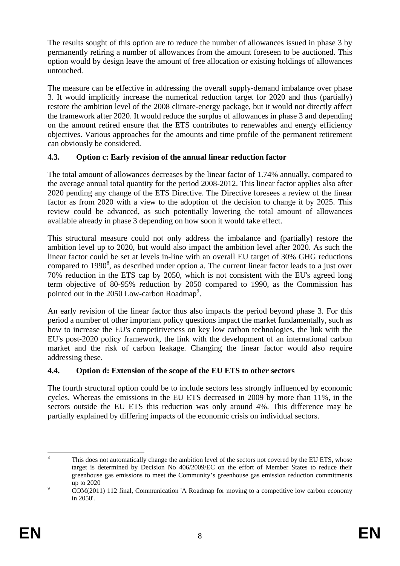The results sought of this option are to reduce the number of allowances issued in phase 3 by permanently retiring a number of allowances from the amount foreseen to be auctioned. This option would by design leave the amount of free allocation or existing holdings of allowances untouched.

The measure can be effective in addressing the overall supply-demand imbalance over phase 3. It would implicitly increase the numerical reduction target for 2020 and thus (partially) restore the ambition level of the 2008 climate-energy package, but it would not directly affect the framework after 2020. It would reduce the surplus of allowances in phase 3 and depending on the amount retired ensure that the ETS contributes to renewables and energy efficiency objectives. Various approaches for the amounts and time profile of the permanent retirement can obviously be considered.

## <span id="page-7-0"></span>**4.3. Option c: Early revision of the annual linear reduction factor**

The total amount of allowances decreases by the linear factor of 1.74% annually, compared to the average annual total quantity for the period 2008-2012. This linear factor applies also after 2020 pending any change of the ETS Directive. The Directive foresees a review of the linear factor as from 2020 with a view to the adoption of the decision to change it by 2025. This review could be advanced, as such potentially lowering the total amount of allowances available already in phase 3 depending on how soon it would take effect.

This structural measure could not only address the imbalance and (partially) restore the ambition level up to 2020, but would also impact the ambition level after 2020. As such the linear factor could be set at levels in-line with an overall EU target of 30% GHG reductions compared to  $1990^8$ , as described under option a. The current linear factor leads to a just over 70% reduction in the ETS cap by 2050, which is not consistent with the EU's agreed long term objective of 80-95% reduction by 2050 compared to 1990, as the Commission has pointed out in the 2050 Low-carbon Roadmap<sup>9</sup>.

An early revision of the linear factor thus also impacts the period beyond phase 3. For this period a number of other important policy questions impact the market fundamentally, such as how to increase the EU's competitiveness on key low carbon technologies, the link with the EU's post-2020 policy framework, the link with the development of an international carbon market and the risk of carbon leakage. Changing the linear factor would also require addressing these.

## <span id="page-7-1"></span>**4.4. Option d: Extension of the scope of the EU ETS to other sectors**

The fourth structural option could be to include sectors less strongly influenced by economic cycles. Whereas the emissions in the EU ETS decreased in 2009 by more than 11%, in the sectors outside the EU ETS this reduction was only around 4%. This difference may be partially explained by differing impacts of the economic crisis on individual sectors.

 $\frac{1}{8}$  This does not automatically change the ambition level of the sectors not covered by the EU ETS, whose target is determined by Decision No 406/2009/EC on the effort of Member States to reduce their greenhouse gas emissions to meet the Community's greenhouse gas emission reduction commitments  $\frac{\text{up to } 2020}{\text{COM} (2011)}$ 

COM(2011) 112 final, Communication 'A Roadmap for moving to a competitive low carbon economy in 2050'.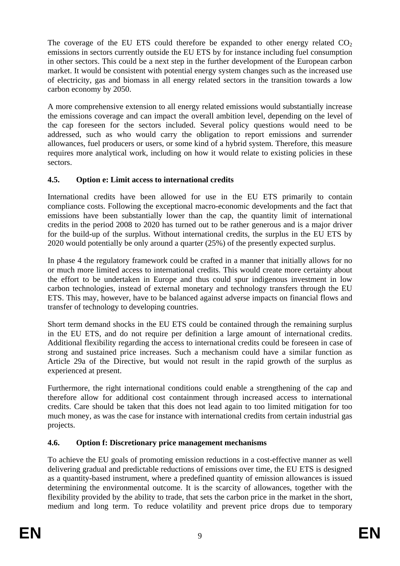The coverage of the EU ETS could therefore be expanded to other energy related  $CO<sub>2</sub>$ emissions in sectors currently outside the EU ETS by for instance including fuel consumption in other sectors. This could be a next step in the further development of the European carbon market. It would be consistent with potential energy system changes such as the increased use of electricity, gas and biomass in all energy related sectors in the transition towards a low carbon economy by 2050.

A more comprehensive extension to all energy related emissions would substantially increase the emissions coverage and can impact the overall ambition level, depending on the level of the cap foreseen for the sectors included. Several policy questions would need to be addressed, such as who would carry the obligation to report emissions and surrender allowances, fuel producers or users, or some kind of a hybrid system. Therefore, this measure requires more analytical work, including on how it would relate to existing policies in these sectors.

## <span id="page-8-0"></span>**4.5. Option e: Limit access to international credits**

International credits have been allowed for use in the EU ETS primarily to contain compliance costs. Following the exceptional macro-economic developments and the fact that emissions have been substantially lower than the cap, the quantity limit of international credits in the period 2008 to 2020 has turned out to be rather generous and is a major driver for the build-up of the surplus. Without international credits, the surplus in the EU ETS by 2020 would potentially be only around a quarter (25%) of the presently expected surplus.

In phase 4 the regulatory framework could be crafted in a manner that initially allows for no or much more limited access to international credits. This would create more certainty about the effort to be undertaken in Europe and thus could spur indigenous investment in low carbon technologies, instead of external monetary and technology transfers through the EU ETS. This may, however, have to be balanced against adverse impacts on financial flows and transfer of technology to developing countries.

Short term demand shocks in the EU ETS could be contained through the remaining surplus in the EU ETS, and do not require per definition a large amount of international credits. Additional flexibility regarding the access to international credits could be foreseen in case of strong and sustained price increases. Such a mechanism could have a similar function as Article 29a of the Directive, but would not result in the rapid growth of the surplus as experienced at present.

Furthermore, the right international conditions could enable a strengthening of the cap and therefore allow for additional cost containment through increased access to international credits. Care should be taken that this does not lead again to too limited mitigation for too much money, as was the case for instance with international credits from certain industrial gas projects.

## <span id="page-8-1"></span>**4.6. Option f: Discretionary price management mechanisms**

To achieve the EU goals of promoting emission reductions in a cost-effective manner as well delivering gradual and predictable reductions of emissions over time, the EU ETS is designed as a quantity-based instrument, where a predefined quantity of emission allowances is issued determining the environmental outcome. It is the scarcity of allowances, together with the flexibility provided by the ability to trade, that sets the carbon price in the market in the short, medium and long term. To reduce volatility and prevent price drops due to temporary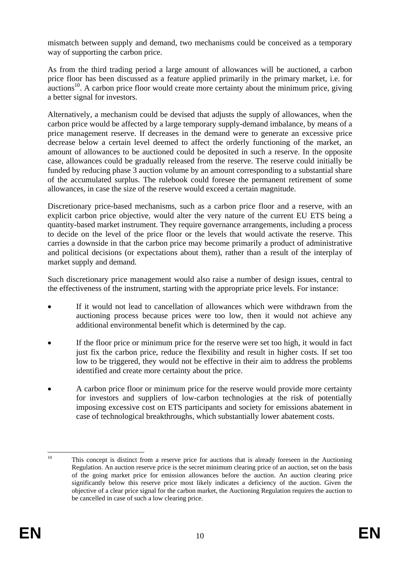mismatch between supply and demand, two mechanisms could be conceived as a temporary way of supporting the carbon price.

As from the third trading period a large amount of allowances will be auctioned, a carbon price floor has been discussed as a feature applied primarily in the primary market, i.e. for  $a$ uctions<sup>10</sup>. A carbon price floor would create more certainty about the minimum price, giving a better signal for investors.

Alternatively, a mechanism could be devised that adjusts the supply of allowances, when the carbon price would be affected by a large temporary supply-demand imbalance, by means of a price management reserve. If decreases in the demand were to generate an excessive price decrease below a certain level deemed to affect the orderly functioning of the market, an amount of allowances to be auctioned could be deposited in such a reserve. In the opposite case, allowances could be gradually released from the reserve. The reserve could initially be funded by reducing phase 3 auction volume by an amount corresponding to a substantial share of the accumulated surplus. The rulebook could foresee the permanent retirement of some allowances, in case the size of the reserve would exceed a certain magnitude.

Discretionary price-based mechanisms, such as a carbon price floor and a reserve, with an explicit carbon price objective, would alter the very nature of the current EU ETS being a quantity-based market instrument. They require governance arrangements, including a process to decide on the level of the price floor or the levels that would activate the reserve. This carries a downside in that the carbon price may become primarily a product of administrative and political decisions (or expectations about them), rather than a result of the interplay of market supply and demand.

Such discretionary price management would also raise a number of design issues, central to the effectiveness of the instrument, starting with the appropriate price levels. For instance:

- If it would not lead to cancellation of allowances which were withdrawn from the auctioning process because prices were too low, then it would not achieve any additional environmental benefit which is determined by the cap.
- If the floor price or minimum price for the reserve were set too high, it would in fact just fix the carbon price, reduce the flexibility and result in higher costs. If set too low to be triggered, they would not be effective in their aim to address the problems identified and create more certainty about the price.
- A carbon price floor or minimum price for the reserve would provide more certainty for investors and suppliers of low-carbon technologies at the risk of potentially imposing excessive cost on ETS participants and society for emissions abatement in case of technological breakthroughs, which substantially lower abatement costs.

 $10$ 10 This concept is distinct from a reserve price for auctions that is already foreseen in the Auctioning Regulation. An auction reserve price is the secret minimum clearing price of an auction, set on the basis of the going market price for emission allowances before the auction. An auction clearing price significantly below this reserve price most likely indicates a deficiency of the auction. Given the objective of a clear price signal for the carbon market, the Auctioning Regulation requires the auction to be cancelled in case of such a low clearing price.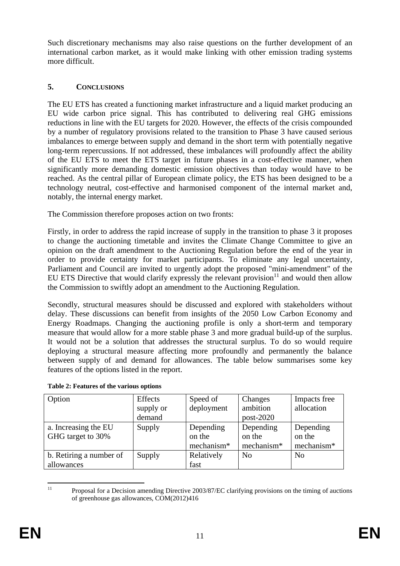Such discretionary mechanisms may also raise questions on the further development of an international carbon market, as it would make linking with other emission trading systems more difficult.

# <span id="page-10-0"></span>**5. CONCLUSIONS**

The EU ETS has created a functioning market infrastructure and a liquid market producing an EU wide carbon price signal. This has contributed to delivering real GHG emissions reductions in line with the EU targets for 2020. However, the effects of the crisis compounded by a number of regulatory provisions related to the transition to Phase 3 have caused serious imbalances to emerge between supply and demand in the short term with potentially negative long-term repercussions. If not addressed, these imbalances will profoundly affect the ability of the EU ETS to meet the ETS target in future phases in a cost-effective manner, when significantly more demanding domestic emission objectives than today would have to be reached. As the central pillar of European climate policy, the ETS has been designed to be a technology neutral, cost-effective and harmonised component of the internal market and, notably, the internal energy market.

The Commission therefore proposes action on two fronts:

Firstly, in order to address the rapid increase of supply in the transition to phase 3 it proposes to change the auctioning timetable and invites the Climate Change Committee to give an opinion on the draft amendment to the Auctioning Regulation before the end of the year in order to provide certainty for market participants. To eliminate any legal uncertainty, Parliament and Council are invited to urgently adopt the proposed "mini-amendment" of the EU ETS Directive that would clarify expressly the relevant provision $11$  and would then allow the Commission to swiftly adopt an amendment to the Auctioning Regulation.

Secondly, structural measures should be discussed and explored with stakeholders without delay. These discussions can benefit from insights of the 2050 Low Carbon Economy and Energy Roadmaps. Changing the auctioning profile is only a short-term and temporary measure that would allow for a more stable phase 3 and more gradual build-up of the surplus. It would not be a solution that addresses the structural surplus. To do so would require deploying a structural measure affecting more profoundly and permanently the balance between supply of and demand for allowances. The table below summarises some key features of the options listed in the report.

| Option                  | Effects   | Speed of   | Changes        | Impacts free   |  |
|-------------------------|-----------|------------|----------------|----------------|--|
|                         | supply or | deployment | ambition       | allocation     |  |
|                         | demand    |            | $post-2020$    |                |  |
| a. Increasing the EU    | Supply    | Depending  | Depending      | Depending      |  |
| GHG target to 30%       |           | on the     | on the         | on the         |  |
|                         |           | mechanism* | mechanism*     | mechanism*     |  |
| b. Retiring a number of | Supply    | Relatively | N <sub>0</sub> | N <sub>o</sub> |  |
| allowances              |           | fast       |                |                |  |

**Table 2: Features of the various options** 

 $11$ 11 Proposal for a Decision amending Directive 2003/87/EC clarifying provisions on the timing of auctions of greenhouse gas allowances, COM(2012)416